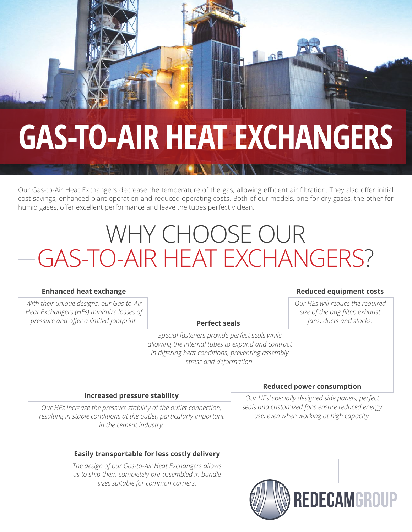## **GAS-TO-AIR HEAT EXCHANGERS**

Our Gas-to-Air Heat Exchangers decrease the temperature of the gas, allowing efficient air filtration. They also offer initial cost-savings, enhanced plant operation and reduced operating costs. Both of our models, one for dry gases, the other for humid gases, offer excellent performance and leave the tubes perfectly clean.

### WHY CHOOSE OUR GAS-TO-AIR HEAT EXCHANGERS?

#### **Enhanced heat exchange**

*With their unique designs, our Gas-to-Air Heat Exchangers (HEs) minimize losses of pressure and offer a limited footprint.*

#### **Perfect seals**

*Special fasteners provide perfect seals while allowing the internal tubes to expand and contract in differing heat conditions, preventing assembly stress and deformation.*

#### **Reduced equipment costs**

*Our HEs will reduce the required size of the bag filter, exhaust fans, ducts and stacks.*

#### **Increased pressure stability**

*Our HEs increase the pressure stability at the outlet connection, resulting in stable conditions at the outlet, particularly important in the cement industry.*

#### **Easily transportable for less costly delivery**

*The design of our Gas-to-Air Heat Exchangers allows us to ship them completely pre-assembled in bundle sizes suitable for common carriers.*

#### **Reduced power consumption**

*Our HEs' specially designed side panels, perfect seals and customized fans ensure reduced energy use, even when working at high capacity.*

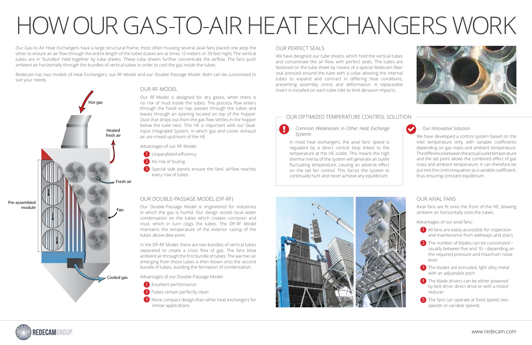#### OUR AXIAL FANS

Axial fans are fit onto the front of the HE, blowing ambient air horizontally onto the tubes.

Advantages of our axial fans:

- 1 All fans are easily accessible for inspection and maintenance from walkways and stairs
- $2)$  The number of blades can be customized usually between five and 10 - depending on the required pressure and maximum noise level
- 3 The blades are extruded, light alloy metal with an adjustable pitch
- 4 The blade drivers can be either powered by belt drive, direct drive or with a motorreducer
- 5 The fans can operate at fixed speed, twospeeds or variable speeds

#### OUR DOUBLE-PASSAGE MODEL (DP-RF)

- 1 Excellent performance
- 2) Tubes remain perfectly clean
- 3 More compact design than other heat exchangers for similar applications

Our Double-Passage Model is engineered for industries in which the gas is humid. Our design avoids local water condensation on the tubes which creates corrosion and mud, which in turn clogs the tubes. The DP-RF Model maintains the temperature of the exterior casing of the tubes above dew point.

- 1 Unparalleled efficiency
- 2 No risk of fouling
- 3) Special side panels ensure the fans' airflow reaches every row of tubes

In the DP-RF Model, there are two bundles of vertical tubes separated to create a cross flow of gas. The fans blow ambient air through the first bundle of tubes. The warmer air emerging from those tubes is then blown onto the second bundle of tubes, avoiding the formation of condensation.

Advantages of our Double-Passage Model:

#### OUR RF-MODEL

Our RF-Model is designed for dry gases, when there is no risk of mud inside the tubes. The process flow enters through the hood on top, passes through the tubes and leaves through an opening located on top of the hopper. Dust that drops out from the gas flow settles in the hopper below the tube nest. This HE is important with our Dual-Input Integrated System, in which gas and cooler exhaust air are mixed upstream of the HE.

Advantages of our RF-Model:



Our Gas-to-Air Heat Exchangers have a large structural frame, most often housing several axial fans placed one atop the other to ensure an air flow through the entire length of the tubes (tubes are at times 12 meters or 39 feet high). The vertical tubes are in "bundles" held together by tube sheets. These tube sheets further concentrate the airflow. The fans push ambient air horizontally through the bundles of vertical tubes in order to cool the gas inside the tubes.

Redecam has two models of Heat Exchangers: our RF-Model and our Double-Passage Model. Both can be customized to suit your needs.

# HOW OUR GAS-TO-AIR HEAT EXCHANGERS WORK

#### OUR PERFECT SEALS

We have designed our tube sheets, which hold the vertical tubes and concentrate the air flow, with perfect seals. The tubes are fastened on the tube sheet by means of a special Redecam fiber seal pressed around the tube with a collar allowing the internal tubes to expand and contract in differing heat conditions, preventing assembly stress and deformation. A replaceable insert is installed on each tube inlet to limit abrasion impacts.

#### OUR OPTIMIZED TEMPERATURE CONTROL SOLUTION

#### *Our Innovative Solution*

We have developed a control system based on the inlet temperature only, with variable coefficients depending on gas mass and ambient temperature. The difference between the actual outlet temperature and the set point allows the combined effect of gas mass and ambient temperature. It can therefore be put into the control equation as a variable coefficient, thus ensuring constant equilibrium.

*Common Weaknesses in Other Heat Exchange Systems* 

In most heat exchangers, the axial fans' speed is regulated by a direct control loop linked to the temperature at the HE outlet. This means the high thermal inertia of the system will generate an outlet fluctuating temperature, causing an adverse effect on the tail fan control. This forces the system to continually hunt and never achieve any equilibrium.